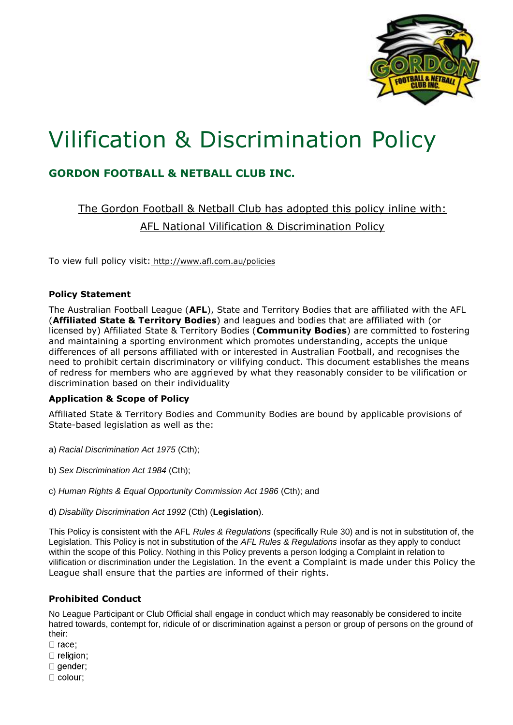

# Vilification & Discrimination Policy

# **GORDON FOOTBALL & NETBALL CLUB INC.**

The Gordon Football & Netball Club has adopted this policy inline with: AFL National Vilification & Discrimination Policy

To view full policy visit: http://www.afl.com.au/policies

## **Policy Statement**

The Australian Football League (**AFL**), State and Territory Bodies that are affiliated with the AFL (**Affiliated State & Territory Bodies**) and leagues and bodies that are affiliated with (or licensed by) Affiliated State & Territory Bodies (**Community Bodies**) are committed to fostering and maintaining a sporting environment which promotes understanding, accepts the unique differences of all persons affiliated with or interested in Australian Football, and recognises the need to prohibit certain discriminatory or vilifying conduct. This document establishes the means of redress for members who are aggrieved by what they reasonably consider to be vilification or discrimination based on their individuality

# **Application & Scope of Policy**

Affiliated State & Territory Bodies and Community Bodies are bound by applicable provisions of State-based legislation as well as the:

- a) *Racial Discrimination Act 1975* (Cth);
- b) *Sex Discrimination Act 1984* (Cth);
- c) *Human Rights & Equal Opportunity Commission Act 1986* (Cth); and
- d) *Disability Discrimination Act 1992* (Cth) (**Legislation**).

This Policy is consistent with the AFL *Rules & Regulations* (specifically Rule 30) and is not in substitution of, the Legislation. This Policy is not in substitution of the *AFL Rules & Regulations* insofar as they apply to conduct within the scope of this Policy. Nothing in this Policy prevents a person lodging a Complaint in relation to vilification or discrimination under the Legislation. In the event a Complaint is made under this Policy the League shall ensure that the parties are informed of their rights.

# **Prohibited Conduct**

No League Participant or Club Official shall engage in conduct which may reasonably be considered to incite hatred towards, contempt for, ridicule of or discrimination against a person or group of persons on the ground of their:

- $\Box$  race:
- $\Box$  religion:
- $\Box$  gender:
- $\Box$  colour: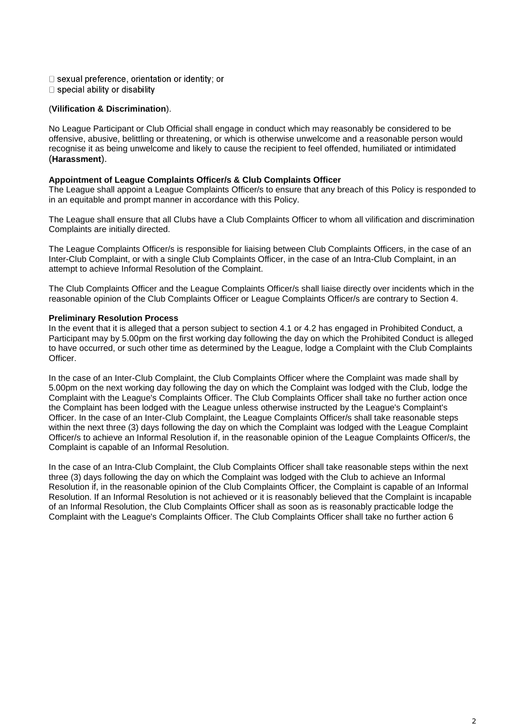- □ sexual preference, orientation or identity; or
- $\Box$  special ability or disability

#### (**Vilification & Discrimination**).

No League Participant or Club Official shall engage in conduct which may reasonably be considered to be offensive, abusive, belittling or threatening, or which is otherwise unwelcome and a reasonable person would recognise it as being unwelcome and likely to cause the recipient to feel offended, humiliated or intimidated (**Harassment**).

#### **Appointment of League Complaints Officer/s & Club Complaints Officer**

The League shall appoint a League Complaints Officer/s to ensure that any breach of this Policy is responded to in an equitable and prompt manner in accordance with this Policy.

The League shall ensure that all Clubs have a Club Complaints Officer to whom all vilification and discrimination Complaints are initially directed.

The League Complaints Officer/s is responsible for liaising between Club Complaints Officers, in the case of an Inter-Club Complaint, or with a single Club Complaints Officer, in the case of an Intra-Club Complaint, in an attempt to achieve Informal Resolution of the Complaint.

The Club Complaints Officer and the League Complaints Officer/s shall liaise directly over incidents which in the reasonable opinion of the Club Complaints Officer or League Complaints Officer/s are contrary to Section 4.

#### **Preliminary Resolution Process**

In the event that it is alleged that a person subject to section 4.1 or 4.2 has engaged in Prohibited Conduct, a Participant may by 5.00pm on the first working day following the day on which the Prohibited Conduct is alleged to have occurred, or such other time as determined by the League, lodge a Complaint with the Club Complaints Officer.

In the case of an Inter-Club Complaint, the Club Complaints Officer where the Complaint was made shall by 5.00pm on the next working day following the day on which the Complaint was lodged with the Club, lodge the Complaint with the League's Complaints Officer. The Club Complaints Officer shall take no further action once the Complaint has been lodged with the League unless otherwise instructed by the League's Complaint's Officer. In the case of an Inter-Club Complaint, the League Complaints Officer/s shall take reasonable steps within the next three (3) days following the day on which the Complaint was lodged with the League Complaint Officer/s to achieve an Informal Resolution if, in the reasonable opinion of the League Complaints Officer/s, the Complaint is capable of an Informal Resolution.

In the case of an Intra-Club Complaint, the Club Complaints Officer shall take reasonable steps within the next three (3) days following the day on which the Complaint was lodged with the Club to achieve an Informal Resolution if, in the reasonable opinion of the Club Complaints Officer, the Complaint is capable of an Informal Resolution. If an Informal Resolution is not achieved or it is reasonably believed that the Complaint is incapable of an Informal Resolution, the Club Complaints Officer shall as soon as is reasonably practicable lodge the Complaint with the League's Complaints Officer. The Club Complaints Officer shall take no further action 6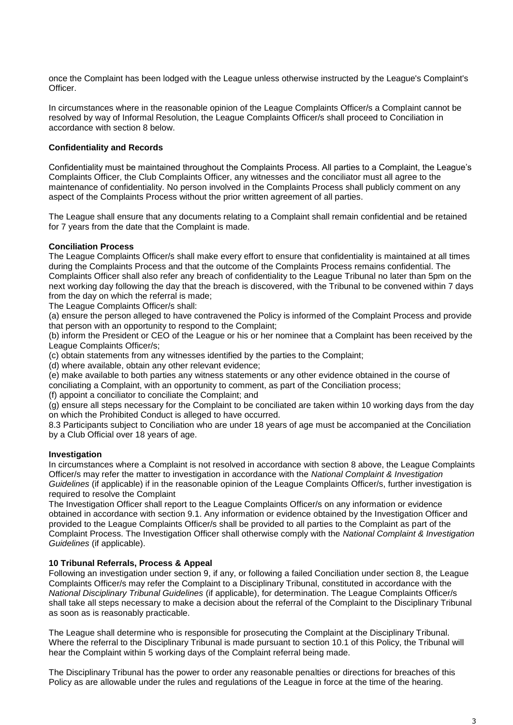once the Complaint has been lodged with the League unless otherwise instructed by the League's Complaint's Officer.

In circumstances where in the reasonable opinion of the League Complaints Officer/s a Complaint cannot be resolved by way of Informal Resolution, the League Complaints Officer/s shall proceed to Conciliation in accordance with section 8 below.

#### **Confidentiality and Records**

Confidentiality must be maintained throughout the Complaints Process. All parties to a Complaint, the League's Complaints Officer, the Club Complaints Officer, any witnesses and the conciliator must all agree to the maintenance of confidentiality. No person involved in the Complaints Process shall publicly comment on any aspect of the Complaints Process without the prior written agreement of all parties.

The League shall ensure that any documents relating to a Complaint shall remain confidential and be retained for 7 years from the date that the Complaint is made.

#### **Conciliation Process**

The League Complaints Officer/s shall make every effort to ensure that confidentiality is maintained at all times during the Complaints Process and that the outcome of the Complaints Process remains confidential. The Complaints Officer shall also refer any breach of confidentiality to the League Tribunal no later than 5pm on the next working day following the day that the breach is discovered, with the Tribunal to be convened within 7 days from the day on which the referral is made;

The League Complaints Officer/s shall:

(a) ensure the person alleged to have contravened the Policy is informed of the Complaint Process and provide that person with an opportunity to respond to the Complaint;

(b) inform the President or CEO of the League or his or her nominee that a Complaint has been received by the League Complaints Officer/s;

(c) obtain statements from any witnesses identified by the parties to the Complaint;

(d) where available, obtain any other relevant evidence;

(e) make available to both parties any witness statements or any other evidence obtained in the course of conciliating a Complaint, with an opportunity to comment, as part of the Conciliation process;

(f) appoint a conciliator to conciliate the Complaint; and

(g) ensure all steps necessary for the Complaint to be conciliated are taken within 10 working days from the day on which the Prohibited Conduct is alleged to have occurred.

8.3 Participants subject to Conciliation who are under 18 years of age must be accompanied at the Conciliation by a Club Official over 18 years of age.

#### **Investigation**

In circumstances where a Complaint is not resolved in accordance with section 8 above, the League Complaints Officer/s may refer the matter to investigation in accordance with the *National Complaint & Investigation Guidelines* (if applicable) if in the reasonable opinion of the League Complaints Officer/s, further investigation is required to resolve the Complaint

The Investigation Officer shall report to the League Complaints Officer/s on any information or evidence obtained in accordance with section 9.1. Any information or evidence obtained by the Investigation Officer and provided to the League Complaints Officer/s shall be provided to all parties to the Complaint as part of the Complaint Process. The Investigation Officer shall otherwise comply with the *National Complaint & Investigation Guidelines* (if applicable).

#### **10 Tribunal Referrals, Process & Appeal**

Following an investigation under section 9, if any, or following a failed Conciliation under section 8, the League Complaints Officer/s may refer the Complaint to a Disciplinary Tribunal, constituted in accordance with the *National Disciplinary Tribunal Guidelines* (if applicable), for determination. The League Complaints Officer/s shall take all steps necessary to make a decision about the referral of the Complaint to the Disciplinary Tribunal as soon as is reasonably practicable.

The League shall determine who is responsible for prosecuting the Complaint at the Disciplinary Tribunal. Where the referral to the Disciplinary Tribunal is made pursuant to section 10.1 of this Policy, the Tribunal will hear the Complaint within 5 working days of the Complaint referral being made.

The Disciplinary Tribunal has the power to order any reasonable penalties or directions for breaches of this Policy as are allowable under the rules and regulations of the League in force at the time of the hearing.